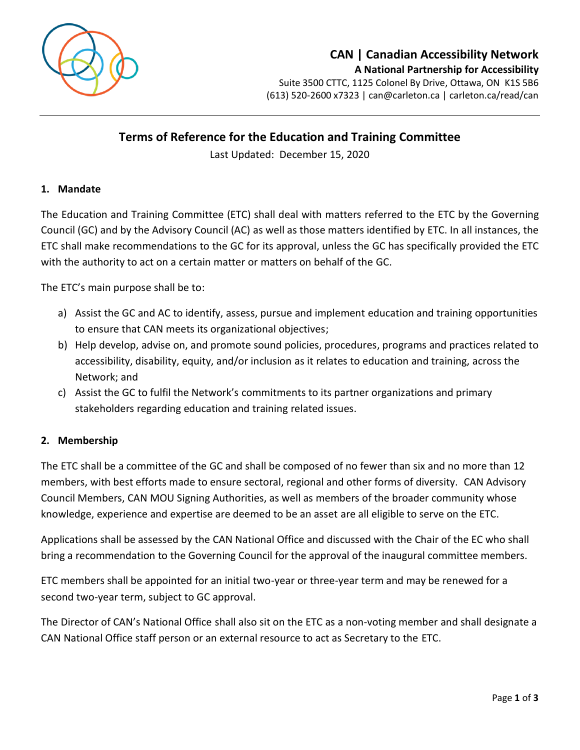

# **CAN | Canadian Accessibility Network A National Partnership for Accessibility**

Suite 3500 CTTC, 1125 Colonel By Drive, Ottawa, ON K1S 5B6 (613) 520-2600 x7323 | [can@carleton.ca](mailto:can@carleton.ca) | carleton.ca/read/can

## **Terms of Reference for the Education and Training Committee**

Last Updated: December 15, 2020

#### **1. Mandate**

The Education and Training Committee (ETC) shall deal with matters referred to the ETC by the Governing Council (GC) and by the Advisory Council (AC) as well as those matters identified by ETC. In all instances, the ETC shall make recommendations to the GC for its approval, unless the GC has specifically provided the ETC with the authority to act on a certain matter or matters on behalf of the GC.

The ETC's main purpose shall be to:

- a) Assist the GC and AC to identify, assess, pursue and implement education and training opportunities to ensure that CAN meets its organizational objectives;
- b) Help develop, advise on, and promote sound policies, procedures, programs and practices related to accessibility, disability, equity, and/or inclusion as it relates to education and training, across the Network; and
- c) Assist the GC to fulfil the Network's commitments to its partner organizations and primary stakeholders regarding education and training related issues.

#### **2. Membership**

The ETC shall be a committee of the GC and shall be composed of no fewer than six and no more than 12 members, with best efforts made to ensure sectoral, regional and other forms of diversity. CAN Advisory Council Members, CAN MOU Signing Authorities, as well as members of the broader community whose knowledge, experience and expertise are deemed to be an asset are all eligible to serve on the ETC.

Applications shall be assessed by the CAN National Office and discussed with the Chair of the EC who shall bring a recommendation to the Governing Council for the approval of the inaugural committee members.

ETC members shall be appointed for an initial two-year or three-year term and may be renewed for a second two-year term, subject to GC approval.

The Director of CAN's National Office shall also sit on the ETC as a non-voting member and shall designate a CAN National Office staff person or an external resource to act as Secretary to the ETC.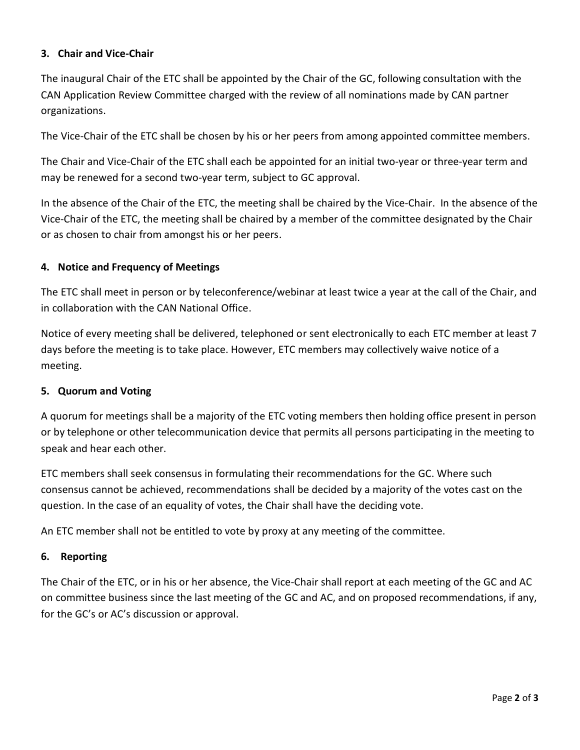## **3. Chair and Vice-Chair**

The inaugural Chair of the ETC shall be appointed by the Chair of the GC, following consultation with the CAN Application Review Committee charged with the review of all nominations made by CAN partner organizations.

The Vice-Chair of the ETC shall be chosen by his or her peers from among appointed committee members.

The Chair and Vice-Chair of the ETC shall each be appointed for an initial two-year or three-year term and may be renewed for a second two-year term, subject to GC approval.

In the absence of the Chair of the ETC, the meeting shall be chaired by the Vice-Chair. In the absence of the Vice-Chair of the ETC, the meeting shall be chaired by a member of the committee designated by the Chair or as chosen to chair from amongst his or her peers.

#### **4. Notice and Frequency of Meetings**

The ETC shall meet in person or by teleconference/webinar at least twice a year at the call of the Chair, and in collaboration with the CAN National Office.

Notice of every meeting shall be delivered, telephoned or sent electronically to each ETC member at least 7 days before the meeting is to take place. However, ETC members may collectively waive notice of a meeting.

#### **5. Quorum and Voting**

A quorum for meetings shall be a majority of the ETC voting members then holding office present in person or by telephone or other telecommunication device that permits all persons participating in the meeting to speak and hear each other.

ETC members shall seek consensus in formulating their recommendations for the GC. Where such consensus cannot be achieved, recommendations shall be decided by a majority of the votes cast on the question. In the case of an equality of votes, the Chair shall have the deciding vote.

An ETC member shall not be entitled to vote by proxy at any meeting of the committee.

#### **6. Reporting**

The Chair of the ETC, or in his or her absence, the Vice-Chair shall report at each meeting of the GC and AC on committee business since the last meeting of the GC and AC, and on proposed recommendations, if any, for the GC's or AC's discussion or approval.